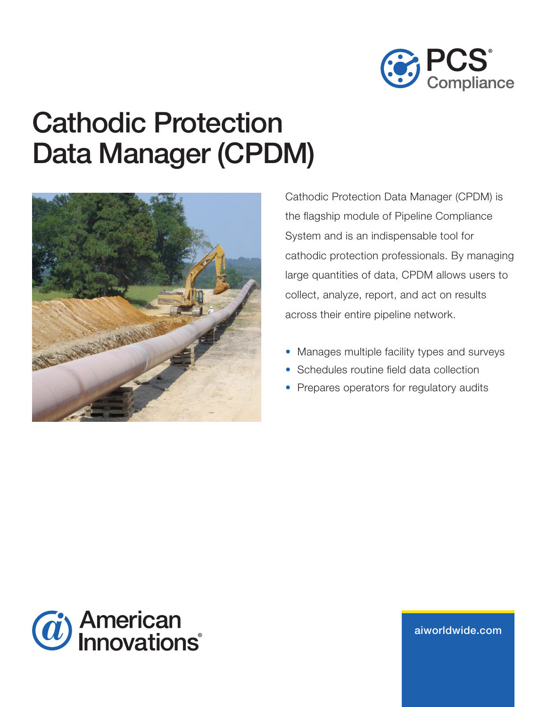

# Cathodic Protection Data Manager (CPDM)



Cathodic Protection Data Manager (CPDM) is the flagship module of Pipeline Compliance System and is an indispensable tool for cathodic protection professionals. By managing large quantities of data, CPDM allows users to collect, analyze, report, and act on results across their entire pipeline network.

- Manages multiple facility types and surveys
- Schedules routine field data collection
- Prepares operators for regulatory audits



aiw[orldwide.com](http://aiworldwide.com)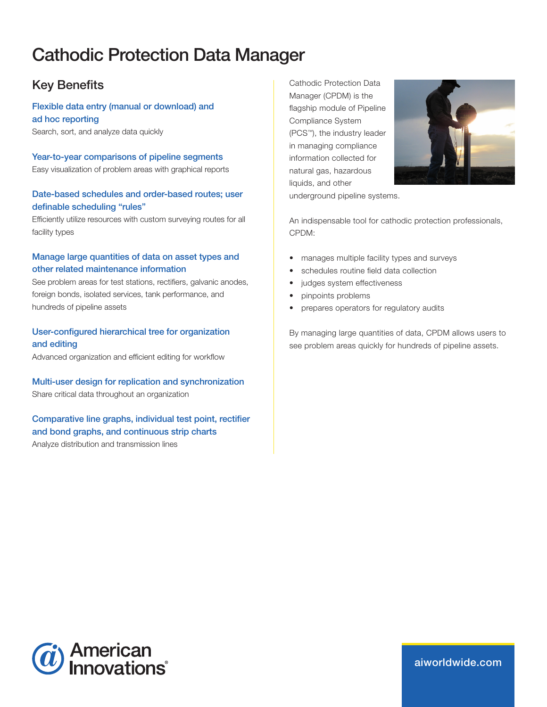# Cathodic Protection Data Manager

# Key Benefits

Flexible data entry (manual or download) and ad hoc reporting Search, sort, and analyze data quickly

Year-to-year comparisons of pipeline segments Easy visualization of problem areas with graphical reports

#### Date-based schedules and order-based routes; user definable scheduling "rules"

Efficiently utilize resources with custom surveying routes for all facility types

#### Manage large quantities of data on asset types and other related maintenance information

See problem areas for test stations, rectifiers, galvanic anodes, foreign bonds, isolated services, tank performance, and hundreds of pipeline assets

#### User-configured hierarchical tree for organization and editing

Advanced organization and efficient editing for workflow

#### Multi-user design for replication and synchronization

Share critical data throughout an organization

#### Comparative line graphs, individual test point, rectifier and bond graphs, and continuous strip charts

Analyze distribution and transmission lines

Cathodic Protection Data Manager (CPDM) is the flagship module of Pipeline Compliance System (PCS™), the industry leader in managing compliance information collected for natural gas, hazardous liquids, and other



underground pipeline systems.

An indispensable tool for cathodic protection professionals, CPDM:

- manages multiple facility types and surveys
- schedules routine field data collection
- judges system effectiveness
- pinpoints problems
- prepares operators for regulatory audits

By managing large quantities of data, CPDM allows users to see problem areas quickly for hundreds of pipeline assets.



aiw[orldwide.com](http://aiworldwide.com)